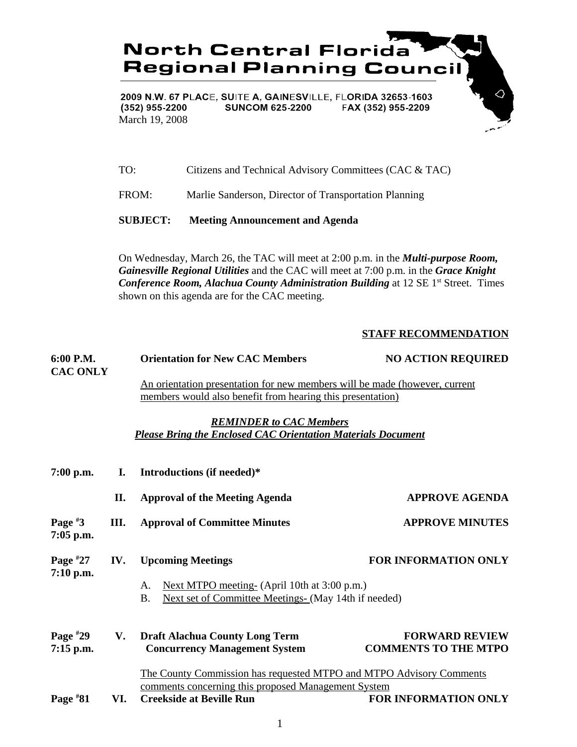

2009 N.W. 67 PLACE, SUITE A, GAINESVILLE, FLORIDA 32653-1603 (352) 955-2200 **SUNCOM 625-2200** FAX (352) 955-2209 March 19, 2008

| <b>SUBJECT:</b> | <b>Meeting Announcement and Agenda</b>                 |
|-----------------|--------------------------------------------------------|
| FROM:           | Marlie Sanderson, Director of Transportation Planning  |
| TO:             | Citizens and Technical Advisory Committees (CAC & TAC) |

On Wednesday, March 26, the TAC will meet at 2:00 p.m. in the *Multi-purpose Room, Gainesville Regional Utilities* and the CAC will meet at 7:00 p.m. in the *Grace Knight Conference Room, Alachua County Administration Building* at 12 SE 1<sup>st</sup> Street. Times shown on this agenda are for the CAC meeting.

## **STAFF RECOMMENDATION**

 $\Diamond$ 

| 6:00 P.M.<br><b>CAC ONLY</b> |     | <b>Orientation for New CAC Members</b>                                                                                                                        | <b>NO ACTION REQUIRED</b>                            |
|------------------------------|-----|---------------------------------------------------------------------------------------------------------------------------------------------------------------|------------------------------------------------------|
|                              |     | An orientation presentation for new members will be made (however, current<br>members would also benefit from hearing this presentation)                      |                                                      |
|                              |     | <b>REMINDER to CAC Members</b><br><b>Please Bring the Enclosed CAC Orientation Materials Document</b>                                                         |                                                      |
| $7:00$ p.m.                  | Ι.  | Introductions (if needed)*                                                                                                                                    |                                                      |
|                              | II. | <b>Approval of the Meeting Agenda</b>                                                                                                                         | <b>APPROVE AGENDA</b>                                |
| Page $*3$<br>7:05 p.m.       | Ш.  | <b>Approval of Committee Minutes</b>                                                                                                                          | <b>APPROVE MINUTES</b>                               |
| Page $*27$<br>$7:10$ p.m.    | IV. | <b>Upcoming Meetings</b><br>Next MTPO meeting- (April 10th at 3:00 p.m.)<br>А.<br>Next set of Committee Meetings- (May 14th if needed)<br><b>B.</b>           | <b>FOR INFORMATION ONLY</b>                          |
| Page $*29$<br>$7:15$ p.m.    | V.  | <b>Draft Alachua County Long Term</b><br><b>Concurrency Management System</b>                                                                                 | <b>FORWARD REVIEW</b><br><b>COMMENTS TO THE MTPO</b> |
| Page $*81$                   | VI. | The County Commission has requested MTPO and MTPO Advisory Comments<br>comments concerning this proposed Management System<br><b>Creekside at Beville Run</b> | <b>FOR INFORMATION ONLY</b>                          |